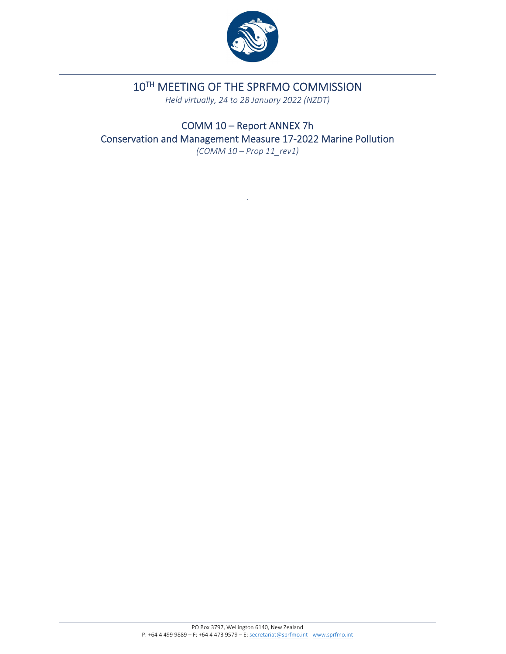

# 10TH MEETING OF THE SPRFMO COMMISSION

*Held virtually, 24 to 28 January 2022 (NZDT)*

COMM 10 – Report ANNEX 7h Conservation and Management Measure 17‐2022 Marine Pollution *(COMM 10 – Prop 11\_rev1)*

.

PO Box 3797, Wellington 6140, New Zealand P: +64 4 499 9889 – F: +64 4 473 9579 – E: secretariat@sprfmo.int ‐ www.sprfmo.int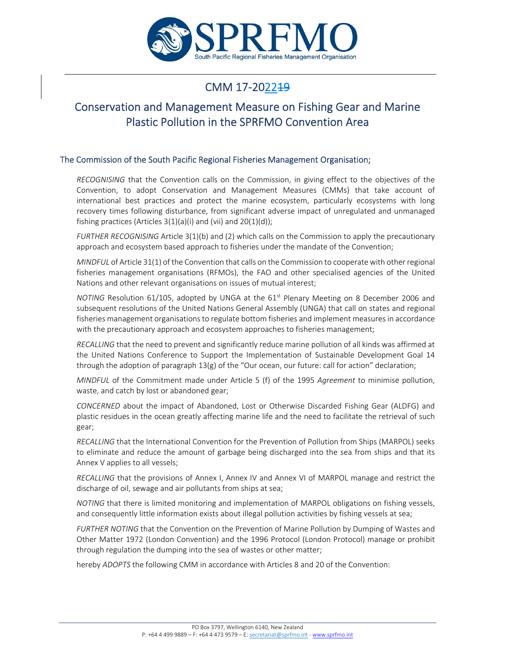

## CMM 17-2022<del>19</del>

### Conservation and Management Measure on Fishing Gear and Marine Plastic Pollution in the SPRFMO Convention Area

#### The Commission of the South Pacific Regional Fisheries Management Organisation;

*RECOGNISING* that the Convention calls on the Commission, in giving effect to the objectives of the Convention, to adopt Conservation and Management Measures (CMMs) that take account of international best practices and protect the marine ecosystem, particularly ecosystems with long recovery times following disturbance, from significant adverse impact of unregulated and unmanaged fishing practices (Articles  $3(1)(a)(i)$  and  $(vii)$  and  $20(1)(d)$ );

*FURTHER RECOGNISING* Article 3(1)(b) and (2) which calls on the Commission to apply the precautionary approach and ecosystem based approach to fisheries under the mandate of the Convention;

*MINDFUL* of Article 31(1) of the Convention that calls on the Commission to cooperate with other regional fisheries management organisations (RFMOs), the FAO and other specialised agencies of the United Nations and other relevant organisations on issues of mutual interest;

*NOTING* Resolution 61/105, adopted by UNGA at the 61<sup>st</sup> Plenary Meeting on 8 December 2006 and subsequent resolutions of the United Nations General Assembly (UNGA) that call on states and regional fisheries management organisations to regulate bottom fisheries and implement measures in accordance with the precautionary approach and ecosystem approaches to fisheries management;

*RECALLING* that the need to prevent and significantly reduce marine pollution of all kinds was affirmed at the United Nations Conference to Support the Implementation of Sustainable Development Goal 14 through the adoption of paragraph 13(g) of the "Our ocean, our future: call for action" declaration;

*MINDFUL* of the Commitment made under Article 5 (f) of the 1995 *Agreement* to minimise pollution, waste, and catch by lost or abandoned gear;

*CONCERNED* about the impact of Abandoned, Lost or Otherwise Discarded Fishing Gear (ALDFG) and plastic residues in the ocean greatly affecting marine life and the need to facilitate the retrieval of such gear;

*RECALLING* that the International Convention for the Prevention of Pollution from Ships (MARPOL) seeks to eliminate and reduce the amount of garbage being discharged into the sea from ships and that its Annex V applies to all vessels;

*RECALLING* that the provisions of Annex I, Annex IV and Annex VI of MARPOL manage and restrict the discharge of oil, sewage and air pollutants from ships at sea;

*NOTING* that there is limited monitoring and implementation of MARPOL obligations on fishing vessels, and consequently little information exists about illegal pollution activities by fishing vessels at sea;

*FURTHER NOTING* that the Convention on the Prevention of Marine Pollution by Dumping of Wastes and Other Matter 1972 (London Convention) and the 1996 Protocol (London Protocol) manage or prohibit through regulation the dumping into the sea of wastes or other matter;

hereby *ADOPTS* the following CMM in accordance with Articles 8 and 20 of the Convention: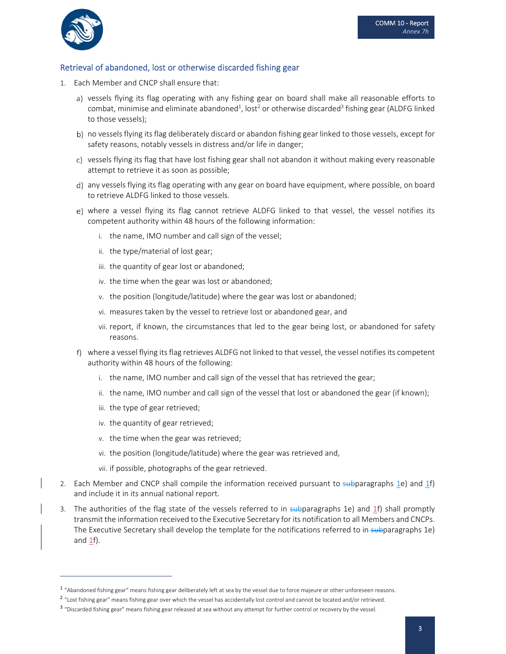

#### Retrieval of abandoned, lost or otherwise discarded fishing gear

- 1. Each Member and CNCP shall ensure that:
	- a) vessels flying its flag operating with any fishing gear on board shall make all reasonable efforts to combat, minimise and eliminate abandoned $^1$ , lost $^2$  or otherwise discarded $^3$  fishing gear (ALDFG linked to those vessels);
	- b) no vessels flying its flag deliberately discard or abandon fishing gear linked to those vessels, except for safety reasons, notably vessels in distress and/or life in danger;
	- c) vessels flying its flag that have lost fishing gear shall not abandon it without making every reasonable attempt to retrieve it as soon as possible;
	- any vessels flying its flag operating with any gear on board have equipment, where possible, on board to retrieve ALDFG linked to those vessels.
	- e) where a vessel flying its flag cannot retrieve ALDFG linked to that vessel, the vessel notifies its competent authority within 48 hours of the following information:
		- i. the name, IMO number and call sign of the vessel;
		- ii. the type/material of lost gear;
		- iii. the quantity of gear lost or abandoned;
		- iv. the time when the gear was lost or abandoned;
		- v. the position (longitude/latitude) where the gear was lost or abandoned;
		- vi. measures taken by the vessel to retrieve lost or abandoned gear, and
		- vii. report, if known, the circumstances that led to the gear being lost, or abandoned for safety reasons.
	- where a vessel flying its flag retrieves ALDFG not linked to that vessel, the vessel notifies its competent authority within 48 hours of the following:
		- i. the name, IMO number and call sign of the vessel that has retrieved the gear;
		- ii. the name, IMO number and call sign of the vessel that lost or abandoned the gear (if known);
		- iii. the type of gear retrieved;
		- iv. the quantity of gear retrieved;
		- v. the time when the gear was retrieved;
		- vi. the position (longitude/latitude) where the gear was retrieved and,
		- vii. if possible, photographs of the gear retrieved.
- 2. Each Member and CNCP shall compile the information received pursuant to subparagraphs 1e) and 1f) and include it in its annual national report.
- 3. The authorities of the flag state of the vessels referred to in subparagraphs 1e) and 1f) shall promptly transmit the information received to the Executive Secretary for its notification to all Members and CNCPs. The Executive Secretary shall develop the template for the notifications referred to in subparagraphs 1e) and  $1<sub>f</sub>$ .

<sup>&</sup>lt;sup>1</sup> "Abandoned fishing gear" means fishing gear deliberately left at sea by the vessel due to force majeure or other unforeseen reasons.

<sup>&</sup>lt;sup>2</sup> "Lost fishing gear" means fishing gear over which the vessel has accidentally lost control and cannot be located and/or retrieved.

<sup>&</sup>lt;sup>3</sup> "Discarded fishing gear" means fishing gear released at sea without any attempt for further control or recovery by the vessel.